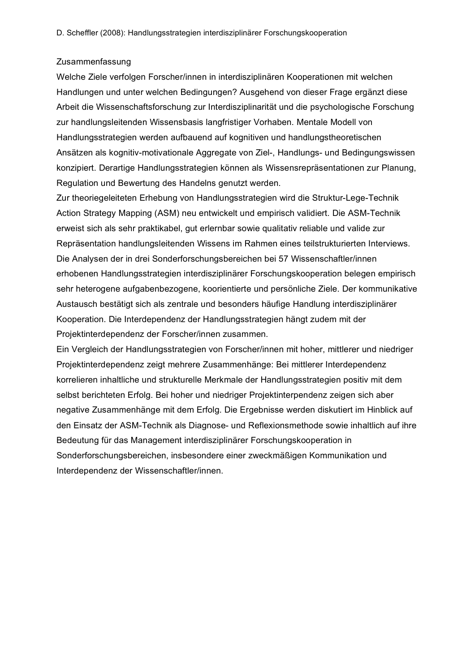## Zusammenfassung

Welche Ziele verfolgen Forscher/innen in interdisziplinären Kooperationen mit welchen Handlungen und unter welchen Bedingungen? Ausgehend von dieser Frage ergänzt diese Arbeit die Wissenschaftsforschung zur Interdisziplinarität und die psychologische Forschung zur handlungsleitenden Wissensbasis langfristiger Vorhaben. Mentale Modell von Handlungsstrategien werden aufbauend auf kognitiven und handlungstheoretischen Ansätzen als kognitiv-motivationale Aggregate von Ziel-, Handlungs- und Bedingungswissen konzipiert. Derartige Handlungsstrategien können als Wissensrepräsentationen zur Planung, Regulation und Bewertung des Handelns genutzt werden.

Zur theoriegeleiteten Erhebung von Handlungsstrategien wird die Struktur-Lege-Technik Action Strategy Mapping (ASM) neu entwickelt und empirisch validiert. Die ASM-Technik erweist sich als sehr praktikabel, gut erlernbar sowie qualitativ reliable und valide zur Repräsentation handlungsleitenden Wissens im Rahmen eines teilstrukturierten Interviews. Die Analysen der in drei Sonderforschungsbereichen bei 57 Wissenschaftler/innen erhobenen Handlungsstrategien interdisziplinärer Forschungskooperation belegen empirisch sehr heterogene aufgabenbezogene, koorientierte und persönliche Ziele. Der kommunikative Austausch bestätigt sich als zentrale und besonders häufige Handlung interdisziplinärer Kooperation. Die Interdependenz der Handlungsstrategien hängt zudem mit der Projektinterdependenz der Forscher/innen zusammen.

Ein Vergleich der Handlungsstrategien von Forscher/innen mit hoher, mittlerer und niedriger Projektinterdependenz zeigt mehrere Zusammenhänge: Bei mittlerer Interdependenz korrelieren inhaltliche und strukturelle Merkmale der Handlungsstrategien positiv mit dem selbst berichteten Erfolg. Bei hoher und niedriger Projektinterpendenz zeigen sich aber negative Zusammenhänge mit dem Erfolg. Die Ergebnisse werden diskutiert im Hinblick auf den Einsatz der ASM-Technik als Diagnose- und Reflexionsmethode sowie inhaltlich auf ihre Bedeutung für das Management interdisziplinärer Forschungskooperation in Sonderforschungsbereichen, insbesondere einer zweckmäßigen Kommunikation und Interdependenz der Wissenschaftler/innen.